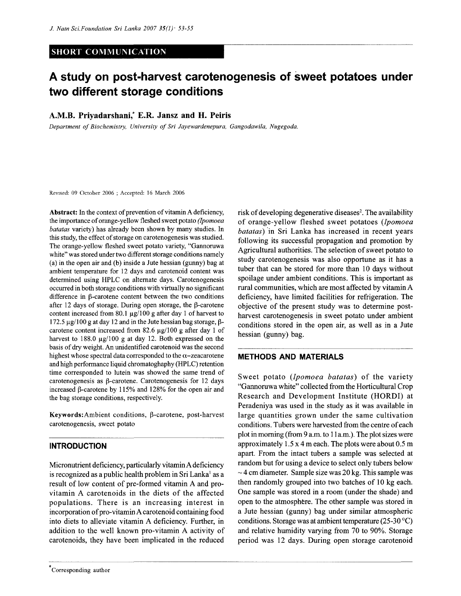# **SHORT COMMUNICATION**

# **A study on post-harvest carotenogenesis of sweet potatoes under two different storage conditions**

# A.M.B. Priyadarshani,\* E.R. Jansz and H. Peiris

*Department of Biochemistry, University of Sri Jayewardenepura, Gangodawila, Nugegoda.* 

Revised: 09 October 2006 ; Accepted: 16 March 2006

**Abstract:** In the context of prevention of vitamin A deficiency, the importance of orange-yellow fleshed sweet potato *(Ipomoea batatas* variety) has already been shown by many studies. In this study, the effect of storage on carotenogenesis was studied. The orange-yellow fleshed sweet potato variety, "Gannoruwa white" was stored under two different storage conditions namely (a) in the open air and (b) inside a Jute hessian (gunny) bag at ambient temperature for 12 days and carotenoid content was determined using HPLC on alternate days. Carotenogenesis occurred in both storage conditions with virtually no significant difference in  $\beta$ -carotene content between the two conditions after 12 days of storage. During open storage, the  $\beta$ -carotene content increased from 80.1  $\mu$ g/100 g after day 1 of harvest to 172.5  $\mu$ g/100 g at day 12 and in the Jute hessian bag storage,  $\beta$ carotene content increased from 82.6  $\mu$ g/100 g after day 1 of harvest to  $188.0 \text{ }\mu\text{g}/100 \text{ g}$  at day 12. Both expressed on the basis of dry weight. An unidentified carotenoid was the second highest whose spectral data corresponded to the  $\alpha$ -zeacarotene and high performance liquid chromatoghaphy (HPLC) retention time corresponded to lutein was showed the same trend of carotenogenesis as  $\beta$ -carotene. Carotenogenesis for 12 days increased  $\beta$ -carotene by 115% and 128% for the open air and the bag storage conditions, respectively.

Keywords: Ambient conditions,  $\beta$ -carotene, post-harvest carotenogenesis, sweet potato

## **INTRODUCTION**

Micronutrient deficiency, particularly vitamin A deficiency is recognized as a public health problem in Sri Lanka<sup>1</sup> as a result of low content of pre-formed vitamin A and provitamin A carotenoids in the diets of the affected populations. There is an increasing interest in incorporation of pro-vitamin A carotenoid containing food into diets to alleviate vitamin A deficiency. Further, in addition to the well known pro-vitamin A activity of carotenoids, they have been implicated in the reduced

risk of developing degenerative diseases<sup>2</sup>. The availability of orange-yellow fleshed sweet potatoes *{Ipomoea batatas)* in Sri Lanka has increased in recent years following its successful propagation and promotion by Agricultural authorities. The selection of sweet potato to study carotenogenesis was also opportune as it has a tuber that can be stored for more than 10 days without spoilage under ambient conditions. This is important as rural communities, which are most affected by vitamin A deficiency, have limited facilities for refrigeration. The objective of the present study was to determine postharvest carotenogenesis in sweet potato under ambient conditions stored in the open air, as well as in a Jute hessian (gunny) bag.

## **METHODS AND MATERIALS**

Sweet potato *{Ipomoea batatas)* of the variety "Gannoruwa white" collected from the Horticultural Crop Research and Development Institute (HORDI) at Peradeniya was used in the study as it was available in large quantities grown under the same cultivation conditions. Tubers were harvested from the centre of each plot in morning (from 9 a.m. to 11 a.m.). The plot sizes were approximately 1.5 x 4 m each. The plots were about 0.5 m apart. From the intact tubers a sample was selected at random but for using a device to select only tubers below  $\sim$  4 cm diameter. Sample size was 20 kg. This sample was then randomly grouped into two batches of 10 kg each. One sample was stored in a room (under the shade) and open to the atmosphere. The other sample was stored in a Jute hessian (gunny) bag under similar atmospheric conditions. Storage was at ambient temperature (25-30 °C) and relative humidity varying from 70 to 90%. Storage period was 12 days. During open storage carotenoid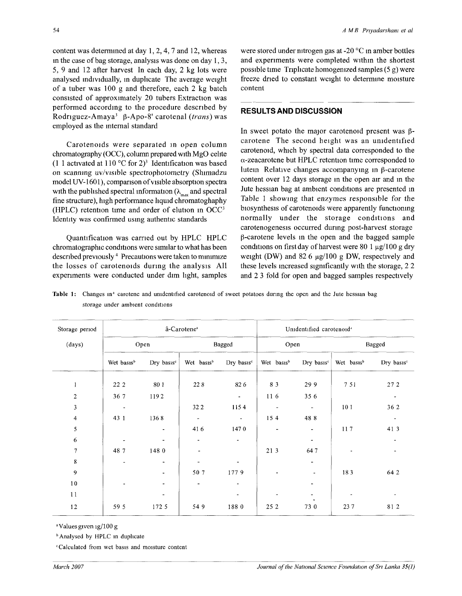content was determined at day 1, 2, 4, 7 and 12, whereas m the case of bag storage, analysis was done on day 1,3, 5, 9 and 12 after harvest In each day, 2 kg lots were analysed individually, m duplicate The average weight of a tuber was 100 g and therefore, each 2 kg batch consisted of approximately 20 tubers Extraction was performed according to the procedure described by Rodriguez-Amaya<sup>3</sup> β-Apo-8' carotenal (*trans*) was employed as the internal standard

Carotenoids were separated in open column chromatography (OCC), column prepared with MgO cehte (1 1 activated at 110 °C for 2)<sup>3</sup> Identification was based on scanning uv/visible spectrophotometry (Shimadzu model UV-1601), comparison of visible absorption spectra with the published spectral information ( $\lambda_{\text{max}}$  and spectral fine structure), high performance liquid chromatoghaphy (HPLC) retention time and order of elution in OCC<sup>3</sup> Identity was confirmed using authentic standards

Quantification was carried out by HPLC HPLC chromatographic conditions were similar to what has been described previously<sup>4</sup> Precautions were taken to minimize the losses of carotenoids during the analysis All experiments were conducted under dim light, samples

were stored under nitrogen gas at -20 °C in amber bottles and experiments were completed within the shortest possible time Triplicate homogenized samples (5 g) were freeze dried to constant weight to determine moisture content

## RESULTS AND DISCUSSION

In sweet potato the major carotenoid present was  $\beta$ carotene The second height was an unidentified carotenoid, which by spectral data corresponded to the a-zeacarotene but HPLC retention time corresponded to lutein Relative changes accompanying in  $\beta$ -carotene content over 12 days storage in the open air and in the Jute hessian bag at ambient conditions are presented in Table 1 showing that enzymes responsible for the biosynthesis of carotenoids were apparently functioning normally under the storage conditions and carotenogenesis occurred during post-harvest storage  $\beta$ -carotene levels in the open and the bagged sample conditions on first day of harvest were 80 1  $\mu$ g/100 g dry weight (DW) and 82.6  $\mu$ g/100 g DW, respectively and these levels increased significantly with the storage, 2 2 and 2 3 fold for open and bagged samples respectively

Table 1: Changes in<sup>a</sup> carotene and unidentified carotenoid of sweet potatoes during the open and the Jute hessian bag storage under ambient conditions

| Storage period<br>(days) | â-Carotene <sup>a</sup> |                          |                          |                          | Unidentified carotenoid <sup>a</sup> |                          |                        |                          |
|--------------------------|-------------------------|--------------------------|--------------------------|--------------------------|--------------------------------------|--------------------------|------------------------|--------------------------|
|                          | Open                    |                          | Bagged                   |                          | Open                                 |                          | Bagged                 |                          |
|                          | Wet basis <sup>b</sup>  | Dry basis <sup>c</sup>   | Wet basis <sup>b</sup>   | Dry basis <sup>c</sup>   | Wet basis <sup>b</sup>               | Dry basis <sup>c</sup>   | Wet basis <sup>b</sup> | Dry basis <sup>c</sup>   |
| 1                        | 22 2                    | 801                      | 22 8                     | 826                      | 83                                   | 299                      | 7 5 1                  | 27 2                     |
| $\mathbf{2}$             | 367                     | 1192                     |                          | $\sim$                   | 11 6                                 | 35 6                     |                        | $\blacksquare$           |
| 3                        | $\blacksquare$          |                          | 32 2                     | 1154                     | $\overline{\phantom{a}}$             | $\blacksquare$           | 10 <sub>1</sub>        | 36 2                     |
| $\overline{\mathbf{4}}$  | 43 1                    | 1368                     | $\overline{\phantom{a}}$ | $\overline{\phantom{a}}$ | 154                                  | 48 8                     |                        | $\overline{\phantom{a}}$ |
| 5                        |                         | $\overline{\phantom{a}}$ | 416                      | 1470                     | $\blacksquare$                       | $\overline{\phantom{a}}$ | 117                    | 41 3                     |
| 6                        |                         |                          | $\tilde{\phantom{a}}$    | $\blacksquare$           |                                      | $\sim$                   |                        |                          |
| 7                        | 48 7                    | 1480                     | $\overline{\phantom{a}}$ |                          | 21 3                                 | 647                      |                        |                          |
| 8                        | $\blacksquare$          | $\overline{\phantom{a}}$ | $\overline{a}$           | $\blacksquare$           |                                      | $\overline{\phantom{a}}$ |                        |                          |
| $\boldsymbol{9}$         |                         | $\blacksquare$           | 50 7                     | 1779                     | $\blacksquare$                       | $\overline{\phantom{a}}$ | 183                    | 64 2                     |
| 10                       |                         | ٠                        | Ξ.                       | ۰                        |                                      |                          |                        |                          |
| 11                       |                         | $\blacksquare$           |                          | $\blacksquare$           | $\overline{\phantom{a}}$             |                          |                        |                          |
| $1\,2$                   | 59 5                    | 172 5                    | 54 9                     | 1880                     | 25 2                                 | $\bullet$<br>73 0        | 237                    | 812                      |

a Values given ig/100 g

**b** Analysed by HPLC in duplicate

c Calculated from wet basis and moisture content